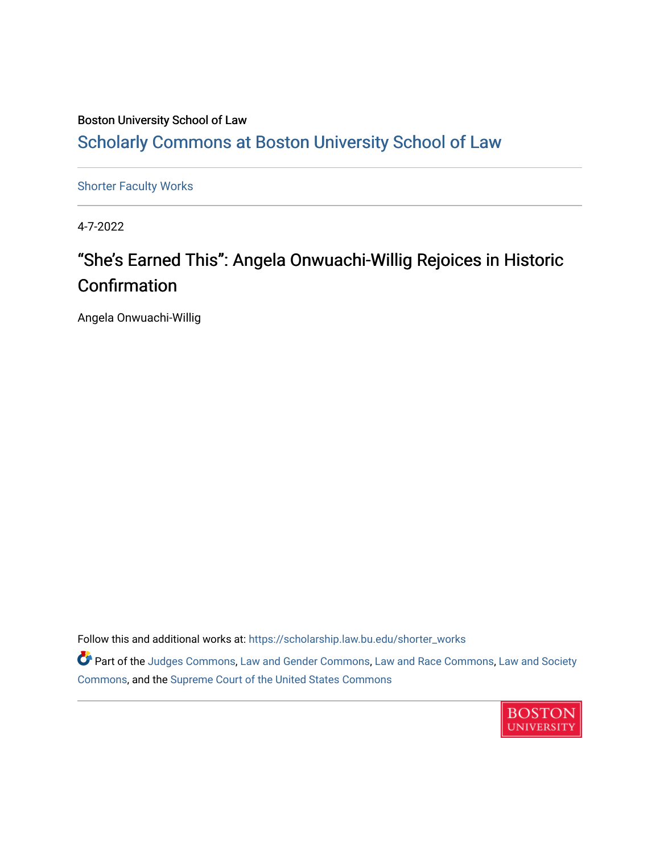### Boston University School of Law [Scholarly Commons at Boston University School of Law](https://scholarship.law.bu.edu/)

[Shorter Faculty Works](https://scholarship.law.bu.edu/shorter_works)

4-7-2022

## "She's Earned This": Angela Onwuachi-Willig Rejoices in Historic Confirmation

Angela Onwuachi-Willig

Follow this and additional works at: [https://scholarship.law.bu.edu/shorter\\_works](https://scholarship.law.bu.edu/shorter_works?utm_source=scholarship.law.bu.edu%2Fshorter_works%2F152&utm_medium=PDF&utm_campaign=PDFCoverPages)

**Part of the [Judges Commons,](https://network.bepress.com/hgg/discipline/849?utm_source=scholarship.law.bu.edu%2Fshorter_works%2F152&utm_medium=PDF&utm_campaign=PDFCoverPages) [Law and Gender Commons](https://network.bepress.com/hgg/discipline/1298?utm_source=scholarship.law.bu.edu%2Fshorter_works%2F152&utm_medium=PDF&utm_campaign=PDFCoverPages), [Law and Race Commons](https://network.bepress.com/hgg/discipline/1300?utm_source=scholarship.law.bu.edu%2Fshorter_works%2F152&utm_medium=PDF&utm_campaign=PDFCoverPages), [Law and Society](https://network.bepress.com/hgg/discipline/853?utm_source=scholarship.law.bu.edu%2Fshorter_works%2F152&utm_medium=PDF&utm_campaign=PDFCoverPages)** [Commons](https://network.bepress.com/hgg/discipline/853?utm_source=scholarship.law.bu.edu%2Fshorter_works%2F152&utm_medium=PDF&utm_campaign=PDFCoverPages), and the [Supreme Court of the United States Commons](https://network.bepress.com/hgg/discipline/1350?utm_source=scholarship.law.bu.edu%2Fshorter_works%2F152&utm_medium=PDF&utm_campaign=PDFCoverPages) 

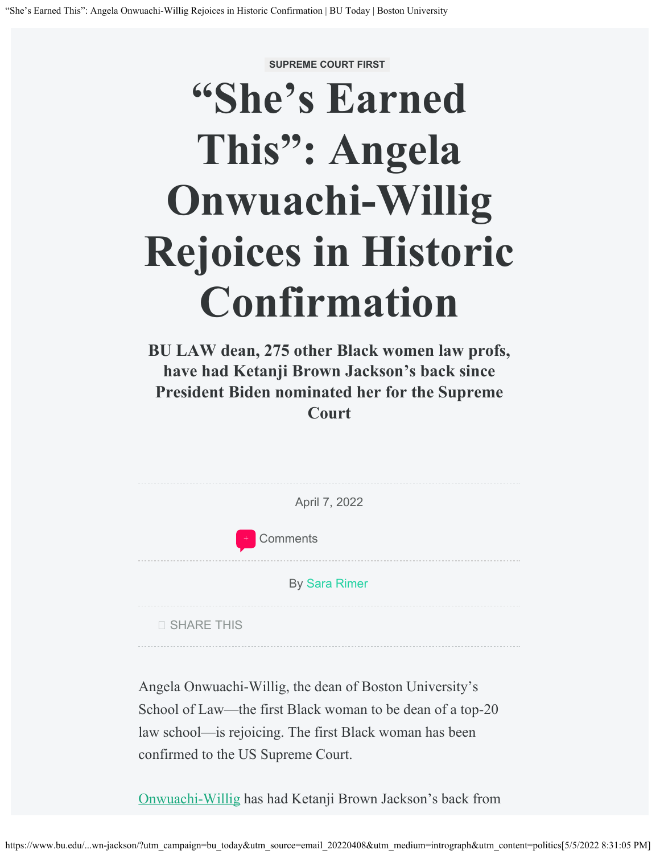**SUPREME COURT FIRST**

# **"She's Earned This": Angela Onwuachi-Willig Rejoices in Historic Confirmation**

**BU LAW dean, 275 other Black women law profs, have had Ketanji Brown Jackson's back since President Biden nominated her for the Supreme Court**

| April 7, 2022                                           |
|---------------------------------------------------------|
| Comments<br>$^{+}$                                      |
| <b>By Sara Rimer</b>                                    |
| <b>SHARE THIS</b>                                       |
| Angela Onwuachi-Willig, the dean of Boston University's |

School of Law—the first Black woman to be dean of a top-20 law school—is rejoicing. The first Black woman has been confirmed to the US Supreme Court.

[Onwuachi-Willig](https://www.bu.edu/law/profile/angela-onwuachi-willig/) has had Ketanji Brown Jackson's back from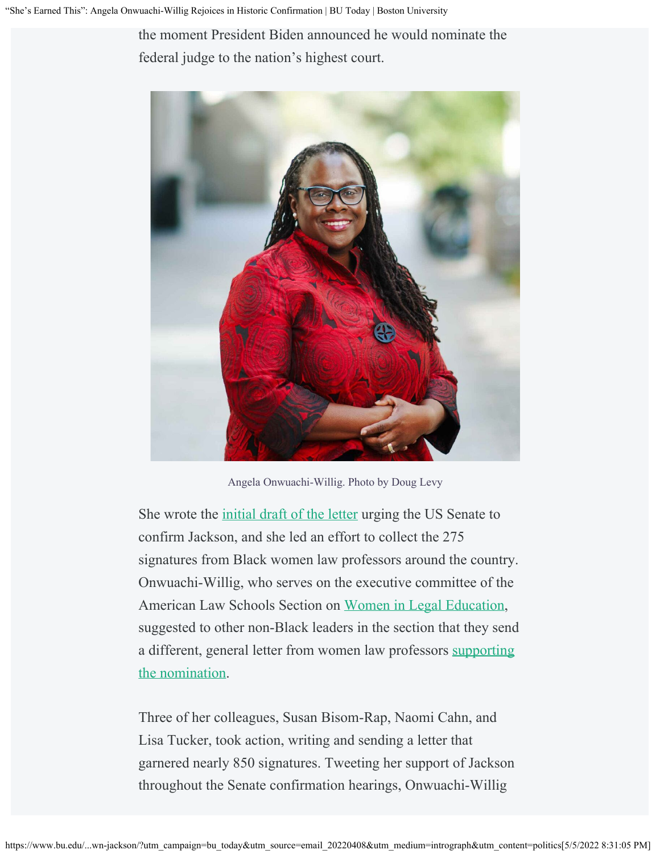the moment President Biden announced he would nominate the federal judge to the nation's highest court.



Angela Onwuachi-Willig. Photo by Doug Levy

She wrote the *initial draft of the letter urging the US Senate to* confirm Jackson, and she led an effort to collect the 275 signatures from Black women law professors around the country. Onwuachi-Willig, who serves on the executive committee of the American Law Schools Section on [Women in Legal Education](https://www.aals.org/sections/list/women-in-legal-education/), suggested to other non-Black leaders in the section that they send a different, general letter from women law professors [supporting](https://www.law.com/2022/03/10/women-law-professors-deans-send-us-senate-letters-supporting-scotus-nominee-ketanji-brown-jackson/) [the nomination.](https://www.law.com/2022/03/10/women-law-professors-deans-send-us-senate-letters-supporting-scotus-nominee-ketanji-brown-jackson/)

Three of her colleagues, Susan Bisom-Rap, Naomi Cahn, and Lisa Tucker, took action, writing and sending a letter that garnered nearly 850 signatures. Tweeting her support of Jackson throughout the Senate confirmation hearings, Onwuachi-Willig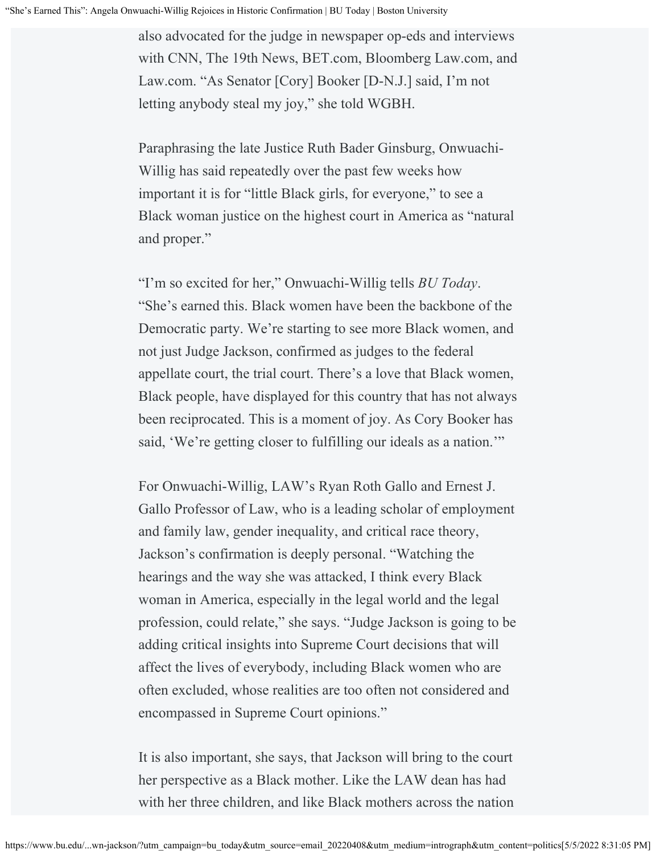also advocated for the judge in newspaper op-eds and interviews with CNN, The 19th News, BET.com, Bloomberg Law.com, and Law.com. "As Senator [Cory] Booker [D-N.J.] said, I'm not letting anybody steal my joy," she told WGBH.

Paraphrasing the late Justice Ruth Bader Ginsburg, Onwuachi-Willig has said repeatedly over the past few weeks how important it is for "little Black girls, for everyone," to see a Black woman justice on the highest court in America as "natural and proper."

"I'm so excited for her," Onwuachi-Willig tells *BU Today*. "She's earned this. Black women have been the backbone of the Democratic party. We're starting to see more Black women, and not just Judge Jackson, confirmed as judges to the federal appellate court, the trial court. There's a love that Black women, Black people, have displayed for this country that has not always been reciprocated. This is a moment of joy. As Cory Booker has said, 'We're getting closer to fulfilling our ideals as a nation."

For Onwuachi-Willig, LAW's Ryan Roth Gallo and Ernest J. Gallo Professor of Law, who is a leading scholar of employment and family law, gender inequality, and critical race theory, Jackson's confirmation is deeply personal. "Watching the hearings and the way she was attacked, I think every Black woman in America, especially in the legal world and the legal profession, could relate," she says. "Judge Jackson is going to be adding critical insights into Supreme Court decisions that will affect the lives of everybody, including Black women who are often excluded, whose realities are too often not considered and encompassed in Supreme Court opinions."

It is also important, she says, that Jackson will bring to the court her perspective as a Black mother. Like the LAW dean has had with her three children, and like Black mothers across the nation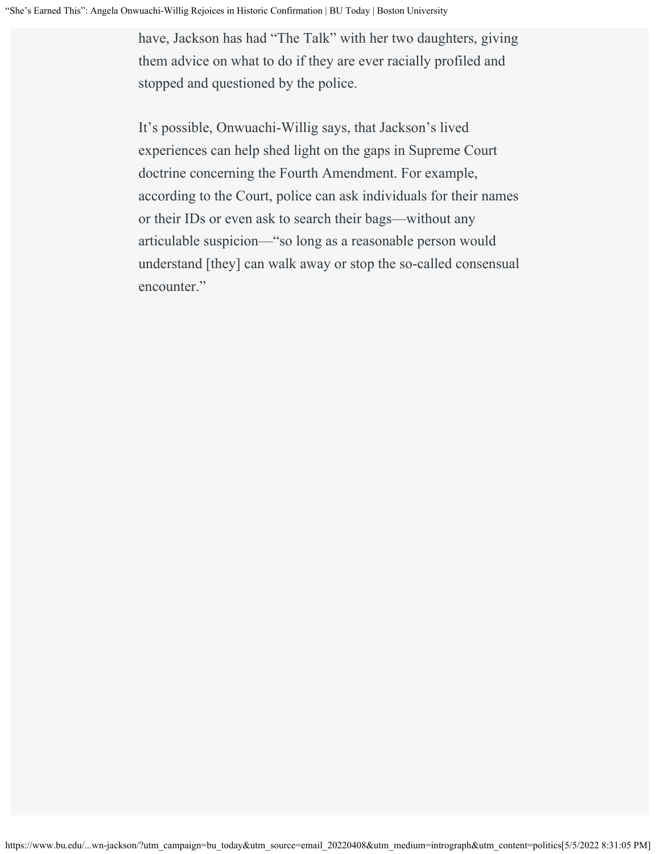have, Jackson has had "The Talk" with her two daughters, giving them advice on what to do if they are ever racially profiled and stopped and questioned by the police.

It's possible, Onwuachi-Willig says, that Jackson's lived experiences can help shed light on the gaps in Supreme Court doctrine concerning the Fourth Amendment. For example, according to the Court, police can ask individuals for their names or their IDs or even ask to search their bags—without any articulable suspicion—"so long as a reasonable person would understand [they] can walk away or stop the so-called consensual encounter."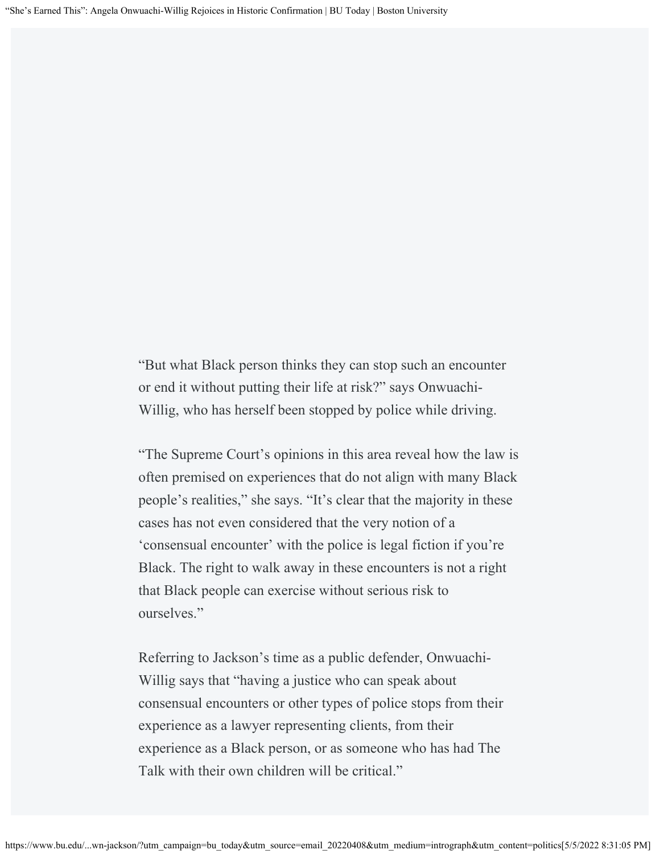"But what Black person thinks they can stop such an encounter or end it without putting their life at risk?" says Onwuachi-Willig, who has herself been stopped by police while driving.

"The Supreme Court's opinions in this area reveal how the law is often premised on experiences that do not align with many Black people's realities," she says. "It's clear that the majority in these cases has not even considered that the very notion of a 'consensual encounter' with the police is legal fiction if you're Black. The right to walk away in these encounters is not a right that Black people can exercise without serious risk to ourselves."

Referring to Jackson's time as a public defender, Onwuachi-Willig says that "having a justice who can speak about consensual encounters or other types of police stops from their experience as a lawyer representing clients, from their experience as a Black person, or as someone who has had The Talk with their own children will be critical."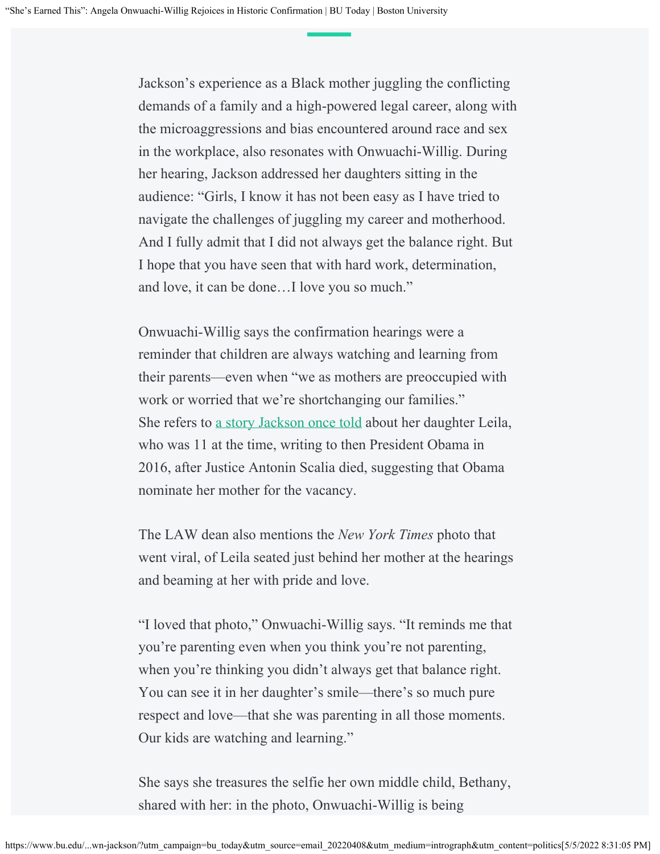Jackson's experience as a Black mother juggling the conflicting demands of a family and a high-powered legal career, along with the microaggressions and bias encountered around race and sex in the workplace, also resonates with Onwuachi-Willig. During her hearing, Jackson addressed her daughters sitting in the audience: "Girls, I know it has not been easy as I have tried to navigate the challenges of juggling my career and motherhood. And I fully admit that I did not always get the balance right. But I hope that you have seen that with hard work, determination, and love, it can be done…I love you so much."

Onwuachi-Willig says the confirmation hearings were a reminder that children are always watching and learning from their parents—even when "we as mothers are preoccupied with work or worried that we're shortchanging our families." She refers to [a story Jackson once told](https://www.mediaite.com/news/watch-ketanji-brown-jacksons-daughter-asked-obama-to-nominate-mom-to-supreme-court-but-he-picked-merrick-garland-instead/Jackson) about her daughter Leila, who was 11 at the time, writing to then President Obama in 2016, after Justice Antonin Scalia died, suggesting that Obama nominate her mother for the vacancy.

The LAW dean also mentions the *New York Times* photo that went viral, of Leila seated just behind her mother at the hearings and beaming at her with pride and love.

"I loved that photo," Onwuachi-Willig says. "It reminds me that you're parenting even when you think you're not parenting, when you're thinking you didn't always get that balance right. You can see it in her daughter's smile—there's so much pure respect and love—that she was parenting in all those moments. Our kids are watching and learning."

She says she treasures the selfie her own middle child, Bethany, shared with her: in the photo, Onwuachi-Willig is being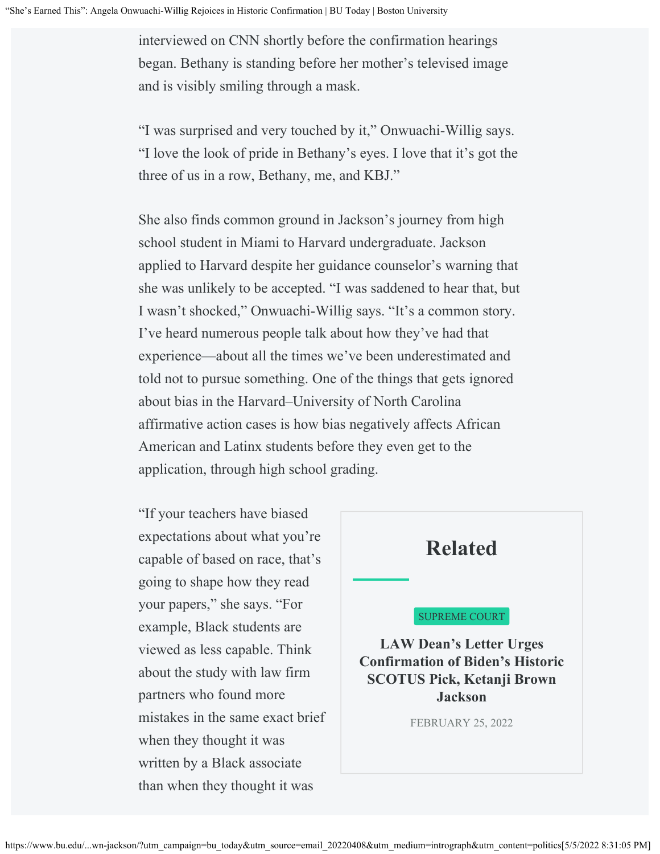interviewed on CNN shortly before the confirmation hearings began. Bethany is standing before her mother's televised image and is visibly smiling through a mask.

"I was surprised and very touched by it," Onwuachi-Willig says. "I love the look of pride in Bethany's eyes. I love that it's got the three of us in a row, Bethany, me, and KBJ."

She also finds common ground in Jackson's journey from high school student in Miami to Harvard undergraduate. Jackson applied to Harvard despite her guidance counselor's warning that she was unlikely to be accepted. "I was saddened to hear that, but I wasn't shocked," Onwuachi-Willig says. "It's a common story. I've heard numerous people talk about how they've had that experience—about all the times we've been underestimated and told not to pursue something. One of the things that gets ignored about bias in the Harvard–University of North Carolina affirmative action cases is how bias negatively affects African American and Latinx students before they even get to the application, through high school grading.

"If your teachers have biased expectations about what you're capable of based on race, that's going to shape how they read your papers," she says. "For example, Black students are viewed as less capable. Think about the study with law firm partners who found more mistakes in the same exact brief when they thought it was written by a Black associate than when they thought it was

### **Related**

#### SUPREME COURT

**[LAW Dean's Letter Urges](https://www.bu.edu/articles/2022/ketanji-brown-jackson-supreme-court-onwuachi-willig-letter/) [Confirmation of Biden's Historic](https://www.bu.edu/articles/2022/ketanji-brown-jackson-supreme-court-onwuachi-willig-letter/) [SCOTUS Pick, Ketanji Brown](https://www.bu.edu/articles/2022/ketanji-brown-jackson-supreme-court-onwuachi-willig-letter/) [Jackson](https://www.bu.edu/articles/2022/ketanji-brown-jackson-supreme-court-onwuachi-willig-letter/)**

FEBRUARY 25, 2022